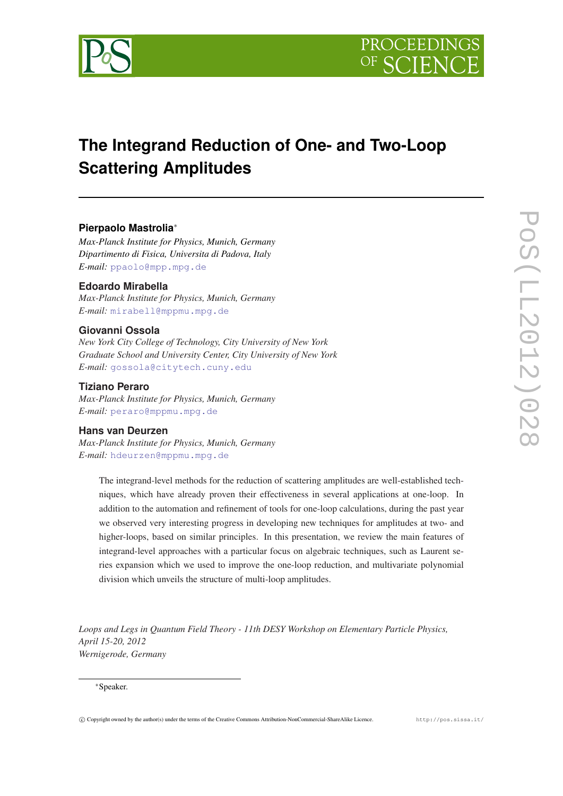



# **The Integrand Reduction of One- and Two-Loop Scattering Amplitudes**

# **Pierpaolo Mastrolia**<sup>∗</sup>

*Max-Planck Institute for Physics, Munich, Germany Dipartimento di Fisica, Universita di Padova, Italy E-mail:* [ppaolo@mpp.mpg.de](mailto:ppaolo@mpp.mpg.de)

# **Edoardo Mirabella**

*Max-Planck Institute for Physics, Munich, Germany E-mail:* [mirabell@mppmu.mpg.de](mailto:mirabell@mppmu.mpg.de)

## **Giovanni Ossola**

*New York City College of Technology, City University of New York Graduate School and University Center, City University of New York E-mail:* [gossola@citytech.cuny.edu](mailto:gossola@citytech.cuny.edu)

## **Tiziano Peraro**

*Max-Planck Institute for Physics, Munich, Germany E-mail:* [peraro@mppmu.mpg.de](mailto:peraro@mppmu.mpg.de)

# **Hans van Deurzen**

*Max-Planck Institute for Physics, Munich, Germany E-mail:* [hdeurzen@mppmu.mpg.de](mailto:hdeurzen@mppmu.mpg.de)

> The integrand-level methods for the reduction of scattering amplitudes are well-established techniques, which have already proven their effectiveness in several applications at one-loop. In addition to the automation and refinement of tools for one-loop calculations, during the past year we observed very interesting progress in developing new techniques for amplitudes at two- and higher-loops, based on similar principles. In this presentation, we review the main features of integrand-level approaches with a particular focus on algebraic techniques, such as Laurent series expansion which we used to improve the one-loop reduction, and multivariate polynomial division which unveils the structure of multi-loop amplitudes.

*Loops and Legs in Quantum Field Theory - 11th DESY Workshop on Elementary Particle Physics, April 15-20, 2012 Wernigerode, Germany*

#### <sup>∗</sup>Speaker.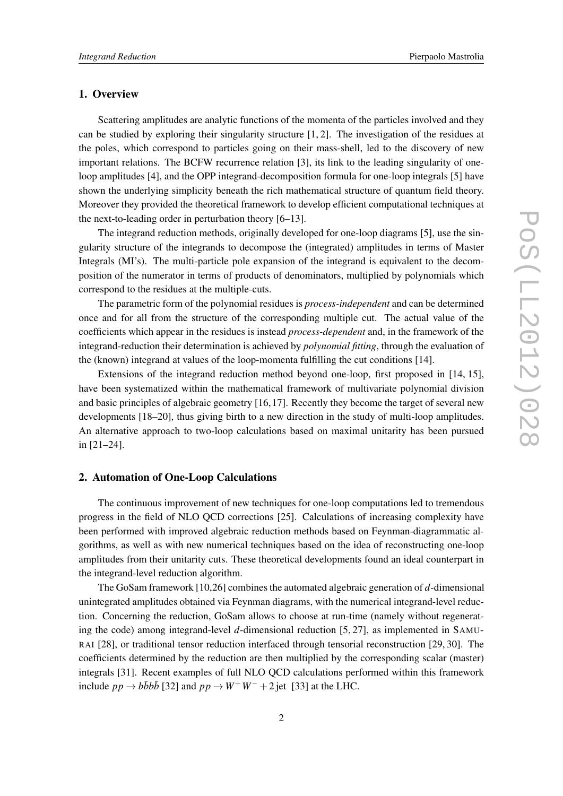## 1. Overview

Scattering amplitudes are analytic functions of the momenta of the particles involved and they can be studied by exploring their singularity structure [1, 2]. The investigation of the residues at the poles, which correspond to particles going on their mass-shell, led to the discovery of new important relations. The BCFW recurrence relation [3], its link to the leading singularity of oneloop amplitudes [4], and the OPP integrand-decomposition formula for one-loop integrals [5] have shown the underlying simplicity beneath the rich mathematical structure of quantum field theory. Moreover they provided the theoretical framework to develop efficient computational techniques at the next-to-leading order in perturbation theory [6–13].

The integrand reduction methods, originally developed for one-loop diagrams [5], use the singularity structure of the integrands to decompose the (integrated) amplitudes in terms of Master Integrals (MI's). The multi-particle pole expansion of the integrand is equivalent to the decomposition of the numerator in terms of products of denominators, multiplied by polynomials which correspond to the residues at the multiple-cuts.

The parametric form of the polynomial residues is *process-independent* and can be determined once and for all from the structure of the corresponding multiple cut. The actual value of the coefficients which appear in the residues is instead *process-dependent* and, in the framework of the integrand-reduction their determination is achieved by *polynomial fitting*, through the evaluation of the (known) integrand at values of the loop-momenta fulfilling the cut conditions [14].

Extensions of the integrand reduction method beyond one-loop, first proposed in [14, 15], have been systematized within the mathematical framework of multivariate polynomial division and basic principles of algebraic geometry [16,17]. Recently they become the target of several new developments [18–20], thus giving birth to a new direction in the study of multi-loop amplitudes. An alternative approach to two-loop calculations based on maximal unitarity has been pursued in [21–24].

## 2. Automation of One-Loop Calculations

The continuous improvement of new techniques for one-loop computations led to tremendous progress in the field of NLO QCD corrections [25]. Calculations of increasing complexity have been performed with improved algebraic reduction methods based on Feynman-diagrammatic algorithms, as well as with new numerical techniques based on the idea of reconstructing one-loop amplitudes from their unitarity cuts. These theoretical developments found an ideal counterpart in the integrand-level reduction algorithm.

The GoSam framework [10,26] combines the automated algebraic generation of *d*-dimensional unintegrated amplitudes obtained via Feynman diagrams, with the numerical integrand-level reduction. Concerning the reduction, GoSam allows to choose at run-time (namely without regenerating the code) among integrand-level *d*-dimensional reduction [5, 27], as implemented in SAMU-RAI [28], or traditional tensor reduction interfaced through tensorial reconstruction [29, 30]. The coefficients determined by the reduction are then multiplied by the corresponding scalar (master) integrals [31]. Recent examples of full NLO QCD calculations performed within this framework include  $pp \rightarrow b\bar{b}b\bar{b}$  [32] and  $pp \rightarrow W^+W^- + 2$  jet [33] at the LHC.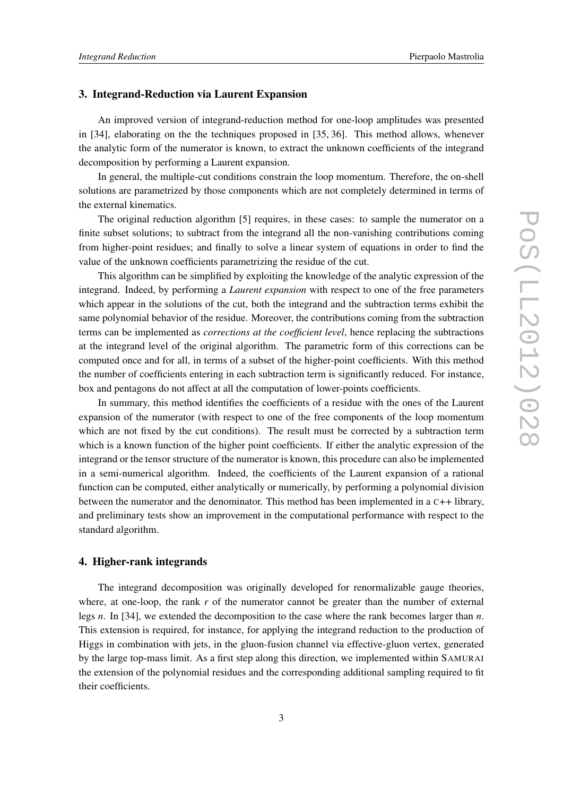#### 3. Integrand-Reduction via Laurent Expansion

An improved version of integrand-reduction method for one-loop amplitudes was presented in [34], elaborating on the the techniques proposed in [35, 36]. This method allows, whenever the analytic form of the numerator is known, to extract the unknown coefficients of the integrand decomposition by performing a Laurent expansion.

In general, the multiple-cut conditions constrain the loop momentum. Therefore, the on-shell solutions are parametrized by those components which are not completely determined in terms of the external kinematics.

The original reduction algorithm [5] requires, in these cases: to sample the numerator on a finite subset solutions; to subtract from the integrand all the non-vanishing contributions coming from higher-point residues; and finally to solve a linear system of equations in order to find the value of the unknown coefficients parametrizing the residue of the cut.

This algorithm can be simplified by exploiting the knowledge of the analytic expression of the integrand. Indeed, by performing a *Laurent expansion* with respect to one of the free parameters which appear in the solutions of the cut, both the integrand and the subtraction terms exhibit the same polynomial behavior of the residue. Moreover, the contributions coming from the subtraction terms can be implemented as *corrections at the coefficient level*, hence replacing the subtractions at the integrand level of the original algorithm. The parametric form of this corrections can be computed once and for all, in terms of a subset of the higher-point coefficients. With this method the number of coefficients entering in each subtraction term is significantly reduced. For instance, box and pentagons do not affect at all the computation of lower-points coefficients.

In summary, this method identifies the coefficients of a residue with the ones of the Laurent expansion of the numerator (with respect to one of the free components of the loop momentum which are not fixed by the cut conditions). The result must be corrected by a subtraction term which is a known function of the higher point coefficients. If either the analytic expression of the integrand or the tensor structure of the numerator is known, this procedure can also be implemented in a semi-numerical algorithm. Indeed, the coefficients of the Laurent expansion of a rational function can be computed, either analytically or numerically, by performing a polynomial division between the numerator and the denominator. This method has been implemented in a C++ library, and preliminary tests show an improvement in the computational performance with respect to the standard algorithm.

## 4. Higher-rank integrands

The integrand decomposition was originally developed for renormalizable gauge theories, where, at one-loop, the rank r of the numerator cannot be greater than the number of external legs *n*. In [34], we extended the decomposition to the case where the rank becomes larger than *n*. This extension is required, for instance, for applying the integrand reduction to the production of Higgs in combination with jets, in the gluon-fusion channel via effective-gluon vertex, generated by the large top-mass limit. As a first step along this direction, we implemented within SAMURAI the extension of the polynomial residues and the corresponding additional sampling required to fit their coefficients.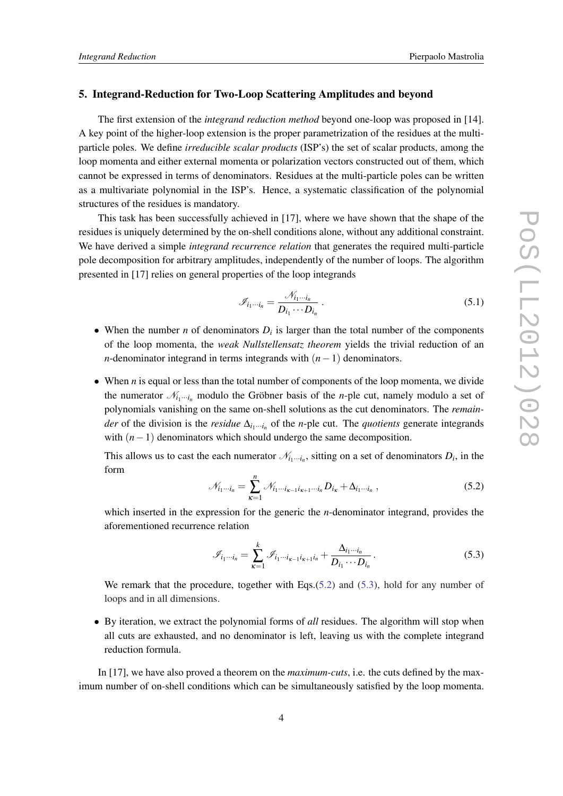#### 5. Integrand-Reduction for Two-Loop Scattering Amplitudes and beyond

The first extension of the *integrand reduction method* beyond one-loop was proposed in [14]. A key point of the higher-loop extension is the proper parametrization of the residues at the multiparticle poles. We define *irreducible scalar products* (ISP's) the set of scalar products, among the loop momenta and either external momenta or polarization vectors constructed out of them, which cannot be expressed in terms of denominators. Residues at the multi-particle poles can be written as a multivariate polynomial in the ISP's. Hence, a systematic classification of the polynomial structures of the residues is mandatory.

This task has been successfully achieved in [17], where we have shown that the shape of the residues is uniquely determined by the on-shell conditions alone, without any additional constraint. We have derived a simple *integrand recurrence relation* that generates the required multi-particle pole decomposition for arbitrary amplitudes, independently of the number of loops. The algorithm presented in [17] relies on general properties of the loop integrands

$$
\mathscr{I}_{i_1\cdots i_n} = \frac{\mathscr{N}_{i_1\cdots i_n}}{D_{i_1}\cdots D_{i_n}}\,. \tag{5.1}
$$

- When the number *n* of denominators  $D_i$  is larger than the total number of the components of the loop momenta, the *weak Nullstellensatz theorem* yields the trivial reduction of an *n*-denominator integrand in terms integrands with (*n*−1) denominators.
- When *n* is equal or less than the total number of components of the loop momenta, we divide the numerator  $\mathcal{N}_{i_1\cdots i_n}$  modulo the Gröbner basis of the *n*-ple cut, namely modulo a set of polynomials vanishing on the same on-shell solutions as the cut denominators. The *remainder* of the division is the *residue*  $\Delta_{i_1\cdots i_n}$  of the *n*-ple cut. The *quotients* generate integrands with (*n*−1) denominators which should undergo the same decomposition.

This allows us to cast the each numerator  $\mathcal{N}_{i_1\cdots i_n}$ , sitting on a set of denominators  $D_i$ , in the form

$$
\mathcal{N}_{i_1\cdots i_n} = \sum_{\kappa=1}^n \mathcal{N}_{i_1\cdots i_{\kappa-1}i_{\kappa+1}\cdots i_n} D_{i_\kappa} + \Delta_{i_1\cdots i_n} , \qquad (5.2)
$$

which inserted in the expression for the generic the *n*-denominator integrand, provides the aforementioned recurrence relation

$$
\mathcal{J}_{i_1\cdots i_n} = \sum_{\kappa=1}^k \mathcal{J}_{i_1\cdots i_{\kappa-1}i_{\kappa+1}i_n} + \frac{\Delta_{i_1\cdots i_n}}{D_{i_1}\cdots D_{i_n}}.
$$
\n(5.3)

We remark that the procedure, together with Eqs.(5.2) and (5.3), hold for any number of loops and in all dimensions.

• By iteration, we extract the polynomial forms of *all* residues. The algorithm will stop when all cuts are exhausted, and no denominator is left, leaving us with the complete integrand reduction formula.

In [17], we have also proved a theorem on the *maximum-cuts*, i.e. the cuts defined by the maximum number of on-shell conditions which can be simultaneously satisfied by the loop momenta.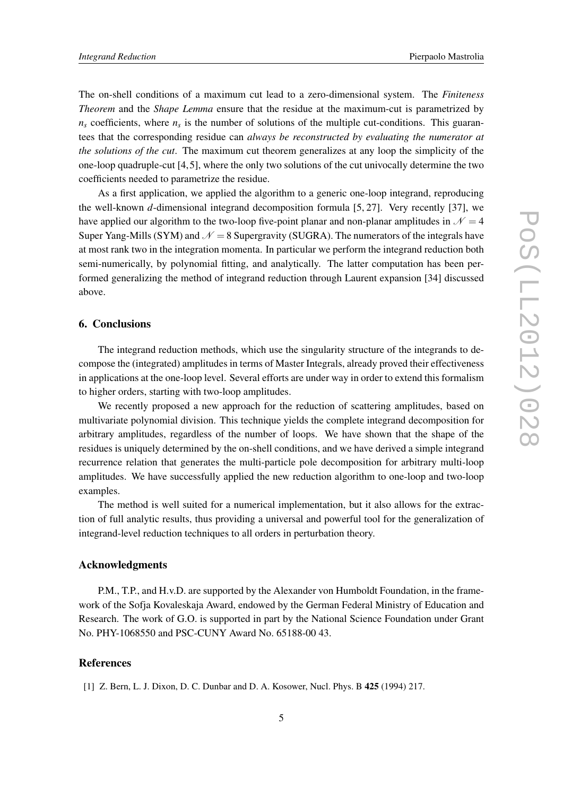The on-shell conditions of a maximum cut lead to a zero-dimensional system. The *Finiteness Theorem* and the *Shape Lemma* ensure that the residue at the maximum-cut is parametrized by  $n<sub>s</sub>$  coefficients, where  $n<sub>s</sub>$  is the number of solutions of the multiple cut-conditions. This guarantees that the corresponding residue can *always be reconstructed by evaluating the numerator at the solutions of the cut*. The maximum cut theorem generalizes at any loop the simplicity of the one-loop quadruple-cut [4,5], where the only two solutions of the cut univocally determine the two coefficients needed to parametrize the residue.

As a first application, we applied the algorithm to a generic one-loop integrand, reproducing the well-known *d*-dimensional integrand decomposition formula [5, 27]. Very recently [37], we have applied our algorithm to the two-loop five-point planar and non-planar amplitudes in  $\mathcal{N} = 4$ Super Yang-Mills (SYM) and  $\mathcal{N} = 8$  Supergravity (SUGRA). The numerators of the integrals have at most rank two in the integration momenta. In particular we perform the integrand reduction both semi-numerically, by polynomial fitting, and analytically. The latter computation has been performed generalizing the method of integrand reduction through Laurent expansion [34] discussed above.

#### 6. Conclusions

The integrand reduction methods, which use the singularity structure of the integrands to decompose the (integrated) amplitudes in terms of Master Integrals, already proved their effectiveness in applications at the one-loop level. Several efforts are under way in order to extend this formalism to higher orders, starting with two-loop amplitudes.

We recently proposed a new approach for the reduction of scattering amplitudes, based on multivariate polynomial division. This technique yields the complete integrand decomposition for arbitrary amplitudes, regardless of the number of loops. We have shown that the shape of the residues is uniquely determined by the on-shell conditions, and we have derived a simple integrand recurrence relation that generates the multi-particle pole decomposition for arbitrary multi-loop amplitudes. We have successfully applied the new reduction algorithm to one-loop and two-loop examples.

The method is well suited for a numerical implementation, but it also allows for the extraction of full analytic results, thus providing a universal and powerful tool for the generalization of integrand-level reduction techniques to all orders in perturbation theory.

#### Acknowledgments

P.M., T.P., and H.v.D. are supported by the Alexander von Humboldt Foundation, in the framework of the Sofja Kovaleskaja Award, endowed by the German Federal Ministry of Education and Research. The work of G.O. is supported in part by the National Science Foundation under Grant No. PHY-1068550 and PSC-CUNY Award No. 65188-00 43.

## **References**

[1] Z. Bern, L. J. Dixon, D. C. Dunbar and D. A. Kosower, Nucl. Phys. B 425 (1994) 217.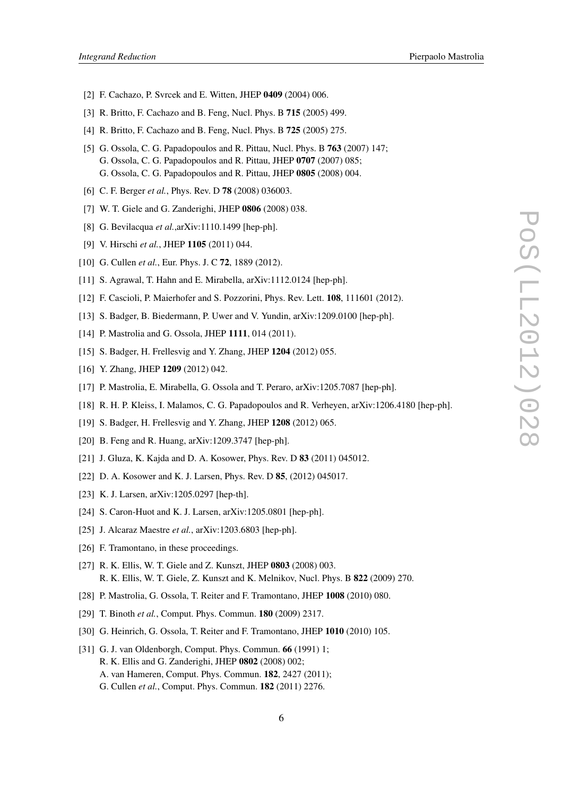- *Integrand Reduction* Pierpaolo Mastrolia
- [2] F. Cachazo, P. Svrcek and E. Witten, JHEP 0409 (2004) 006.
- [3] R. Britto, F. Cachazo and B. Feng, Nucl. Phys. B 715 (2005) 499.
- [4] R. Britto, F. Cachazo and B. Feng, Nucl. Phys. B 725 (2005) 275.
- [5] G. Ossola, C. G. Papadopoulos and R. Pittau, Nucl. Phys. B 763 (2007) 147; G. Ossola, C. G. Papadopoulos and R. Pittau, JHEP 0707 (2007) 085; G. Ossola, C. G. Papadopoulos and R. Pittau, JHEP 0805 (2008) 004.
- [6] C. F. Berger *et al.*, Phys. Rev. D 78 (2008) 036003.
- [7] W. T. Giele and G. Zanderighi, JHEP 0806 (2008) 038.
- [8] G. Bevilacqua *et al.*,arXiv:1110.1499 [hep-ph].
- [9] V. Hirschi *et al.*, JHEP 1105 (2011) 044.
- [10] G. Cullen *et al.*, Eur. Phys. J. C **72**, 1889 (2012).
- [11] S. Agrawal, T. Hahn and E. Mirabella, arXiv:1112.0124 [hep-ph].
- [12] F. Cascioli, P. Maierhofer and S. Pozzorini, Phys. Rev. Lett. **108**, 111601 (2012).
- [13] S. Badger, B. Biedermann, P. Uwer and V. Yundin, arXiv:1209.0100 [hep-ph].
- [14] P. Mastrolia and G. Ossola, JHEP 1111, 014 (2011).
- [15] S. Badger, H. Frellesvig and Y. Zhang, JHEP 1204 (2012) 055.
- [16] Y. Zhang, JHEP 1209 (2012) 042.
- [17] P. Mastrolia, E. Mirabella, G. Ossola and T. Peraro, arXiv:1205.7087 [hep-ph].
- [18] R. H. P. Kleiss, I. Malamos, C. G. Papadopoulos and R. Verheyen, arXiv:1206.4180 [hep-ph].
- [19] S. Badger, H. Frellesvig and Y. Zhang, JHEP 1208 (2012) 065.
- [20] B. Feng and R. Huang, arXiv:1209.3747 [hep-ph].
- [21] J. Gluza, K. Kajda and D. A. Kosower, Phys. Rev. D **83** (2011) 045012.
- [22] D. A. Kosower and K. J. Larsen, Phys. Rev. D 85, (2012) 045017.
- [23] K. J. Larsen, arXiv:1205.0297 [hep-th].
- [24] S. Caron-Huot and K. J. Larsen, arXiv:1205.0801 [hep-ph].
- [25] J. Alcaraz Maestre *et al.*, arXiv:1203.6803 [hep-ph].
- [26] F. Tramontano, in these proceedings.
- [27] R. K. Ellis, W. T. Giele and Z. Kunszt, JHEP 0803 (2008) 003. R. K. Ellis, W. T. Giele, Z. Kunszt and K. Melnikov, Nucl. Phys. B 822 (2009) 270.
- [28] P. Mastrolia, G. Ossola, T. Reiter and F. Tramontano, JHEP 1008 (2010) 080.
- [29] T. Binoth *et al.*, Comput. Phys. Commun. 180 (2009) 2317.
- [30] G. Heinrich, G. Ossola, T. Reiter and F. Tramontano, JHEP 1010 (2010) 105.
- [31] G. J. van Oldenborgh, Comput. Phys. Commun. **66** (1991) 1; R. K. Ellis and G. Zanderighi, JHEP 0802 (2008) 002; A. van Hameren, Comput. Phys. Commun. 182, 2427 (2011);
	- G. Cullen *et al.*, Comput. Phys. Commun. 182 (2011) 2276.